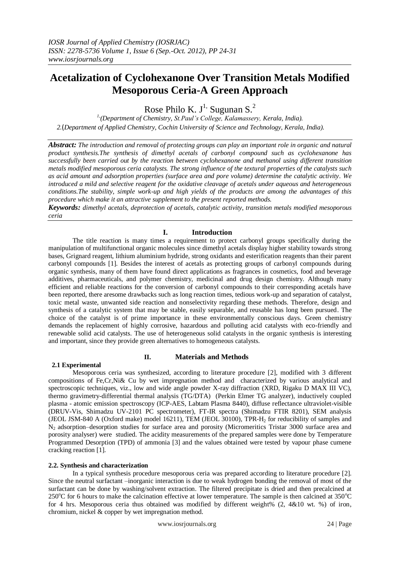# **Acetalization of Cyclohexanone Over Transition Metals Modified Mesoporous Ceria-A Green Approach**

Rose Philo K.  $J^1$ , Sugunan S.<sup>2</sup>

*1,(Department of Chemistry, St.Paul's College, Kalamassery, Kerala, India). 2.*(*Department of Applied Chemistry, Cochin University of Science and Technology, Kerala, India).*

*Abstract: The introduction and removal of protecting groups can play an important role in organic and natural product synthesis.The synthesis of dimethyl acetals of carbonyl compound such as cyclohexanone has successfully been carried out by the reaction between cyclohexanone and methanol using different transition metals modified mesoporous ceria catalysts. The strong influence of the textural properties of the catalysts such as acid amount and adsorption properties (surface area and pore volume) determine the catalytic activity. We introduced a mild and selective reagent for the oxidative cleavage of acetals under aqueous and heterogeneous conditions.The stability, simple work-up and high yields of the products are among the advantages of this procedure which make it an attractive supplement to the present reported methods.*

*Keywords: dimethyl acetals, deprotection of acetals, catalytic activity, transition metals modified mesoporous ceria*

# **I. Introduction**

The title reaction is many times a requirement to protect carbonyl groups specifically during the manipulation of multifunctional organic molecules since dimethyl acetals display higher stability towards strong bases, Grignard reagent, lithium aluminium hydride, strong oxidants and esterification reagents than their parent carbonyl compounds [1]. Besides the interest of acetals as protecting groups of carbonyl compounds during organic synthesis, many of them have found direct applications as fragrances in cosmetics, food and beverage additives, pharmaceuticals, and polymer chemistry, medicinal and drug design chemistry. Although many efficient and reliable reactions for the conversion of carbonyl compounds to their corresponding acetals have been reported, there aresome drawbacks such as long reaction times, tedious work-up and separation of catalyst, toxic metal waste, unwanted side reaction and nonselectivity regarding these methods. Therefore, design and synthesis of a catalytic system that may be stable, easily separable, and reusable has long been pursued. The choice of the catalyst is of prime importance in these environmentally conscious days. Green chemistry demands the replacement of highly corrosive, hazardous and polluting acid catalysts with eco-friendly and renewable solid acid catalysts. The use of heterogeneous solid catalysts in the organic synthesis is interesting and important, since they provide green alternatives to homogeneous catalysts.

## **2.1 Experimental**

Mesoporous ceria was synthesized, according to literature procedure [2], modified with 3 different compositions of Fe,Cr,Ni& Cu by wet impregnation method and characterized by various analytical and spectroscopic techniques, viz., low and wide angle powder X-ray diffraction (XRD, Rigaku D MAX III VC), thermo gravimetry-differential thermal analysis (TG/DTA) (Perkin Elmer TG analyzer), inductively coupled plasma - atomic emission spectroscopy (ICP-AES, Labtam Plasma 8440), diffuse reflectance ultraviolet-visible (DRUV-Vis, Shimadzu UV-2101 PC spectrometer), FT-IR spectra (Shimadzu FTIR 8201), SEM analysis (JEOL JSM-840 A (Oxford make) model 16211), TEM (JEOL 30100), TPR-H<sup>2</sup> for reducibility of samples and N2 adsorption–desorption studies for surface area and porosity (Micromeritics Tristar 3000 surface area and porosity analyser) were studied. The acidity measurements of the prepared samples were done by Temperature Programmed Desorption (TPD) of ammonia [3] and the values obtained were tested by vapour phase cumene cracking reaction [1].

**II. Materials and Methods**

## **2.2. Synthesis and characterization**

In a typical synthesis procedure mesoporous ceria was prepared according to literature procedure [2]. Since the neutral surfactant –inorganic interaction is due to weak hydrogen bonding the removal of most of the surfactant can be done by washing/solvent extraction. The filtered precipitate is dried and then precalcined at 250 $^{\circ}$ C for 6 hours to make the calcination effective at lower temperature. The sample is then calcined at 350 $^{\circ}$ C for 4 hrs. Mesoporous ceria thus obtained was modified by different weight% (2, 4&10 wt. %) of iron, chromium, nickel & copper by wet impregnation method.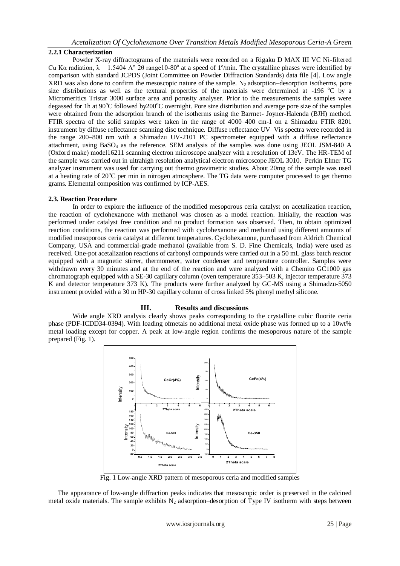## **2.2.1 Characterization**

Powder X-ray diffractograms of the materials were recorded on a Rigaku D MAX III VC Ni-filtered Cu Kα radiation,  $\lambda = 1.5404$  A° 2θ range10-80° at a speed of 1°/min. The crystalline phases were identified by comparison with standard JCPDS (Joint Committee on Powder Diffraction Standards) data file [4]. Low angle XRD was also done to confirm the mesoscopic nature of the sample.  $N_2$  adsorption–desorption isotherms, pore size distributions as well as the textural properties of the materials were determined at -196  $^{\circ}$ C by a Micromeritics Tristar 3000 surface area and porosity analyser. Prior to the measurements the samples were degassed for 1h at 90°C followed by200°C overnight. Pore size distribution and average pore size of the samples were obtained from the adsorption branch of the isotherms using the Barrnet- Joyner-Halenda (BJH) method. FTIR spectra of the solid samples were taken in the range of 4000–400 cm-1 on a Shimadzu FTIR 8201 instrument by diffuse reflectance scanning disc technique. Diffuse reflectance UV–Vis spectra were recorded in the range 200–800 nm with a Shimadzu UV-2101 PC spectrometer equipped with a diffuse reflectance attachment, using BaSO<sup>4</sup> as the reference. SEM analysis of the samples was done using JEOL JSM-840 A (Oxford make) model16211 scanning electron microscope analyzer with a resolution of 13eV. The HR-TEM of the sample was carried out in ultrahigh resolution analytical electron microscope JEOL 3010. Perkin Elmer TG analyzer instrument was used for carrying out thermo gravimetric studies. About 20mg of the sample was used at a heating rate of  $20^{\circ}$ C per min in nitrogen atmosphere. The TG data were computer processed to get thermo grams. Elemental composition was confirmed by ICP-AES.

## **2.3. Reaction Procedure**

In order to explore the influence of the modified mesoporous ceria catalyst on acetalization reaction, the reaction of cyclohexanone with methanol was chosen as a model reaction. Initially, the reaction was performed under catalyst free condition and no product formation was observed. Then, to obtain optimized reaction conditions, the reaction was performed with cyclohexanone and methanol using different amounts of modified mesoporous ceria catalyst at different temperatures. Cyclohexanone, purchased from Aldrich Chemical Company, USA and commercial-grade methanol (available from S. D. Fine Chemicals, India) were used as received. One-pot acetalization reactions of carbonyl compounds were carried out in a 50 mL glass batch reactor equipped with a magnetic stirrer, thermometer, water condenser and temperature controller. Samples were withdrawn every 30 minutes and at the end of the reaction and were analyzed with a Chemito GC1000 gas chromatograph equipped with a SE-30 capillary column (oven temperature 353–503 K, injector temperature 373 K and detector temperature 373 K). The products were further analyzed by GC-MS using a Shimadzu-5050 instrument provided with a 30 m HP-30 capillary column of cross linked 5% phenyl methyl silicone.

## **III. Results and discussions**

Wide angle XRD analysis clearly shows peaks corresponding to the crystalline cubic fluorite ceria phase (PDF-ICDD34-0394). With loading ofmetals no additional metal oxide phase was formed up to a 10wt% metal loading except for copper. A peak at low-angle region confirms the mesoporous nature of the sample prepared (Fig. 1).



Fig. 1 Low-angle XRD pattern of mesoporous ceria and modified samples

The appearance of low-angle diffraction peaks indicates that mesoscopic order is preserved in the calcined metal oxide materials. The sample exhibits  $N_2$  adsorption–desorption of Type IV isotherm with steps between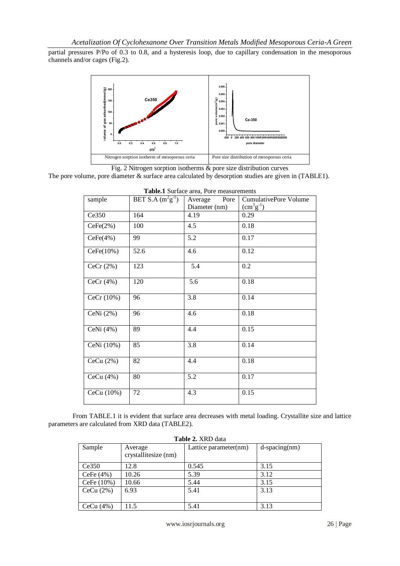partial pressures P/Po of 0.3 to 0.8, and a hysteresis loop, due to capillary condensation in the mesoporous channels and/or cages (Fig.2).



Fig. 2 Nitrogen sorption isotherms & pore size distribution curves

The pore volume, pore diameter & surface area calculated by desorption studies are given in (TABLE1).

| sample       | BET S.A $(m^2g^{-1})$ | Pore<br>Average  | <b>CumulativePore Volume</b> |
|--------------|-----------------------|------------------|------------------------------|
|              |                       | Diameter (nm)    | $(cm3g-1)$                   |
| Ce350        | 164                   | 4.19             | 0.29                         |
| CeFe(2%)     | 100                   | 4.5              | 0.18                         |
| CeFe(4%)     | 99                    | 5.2              | 0.17                         |
| CeFe(10%)    | 52.6                  | 4.6              | 0.12                         |
| CeCr $(2\%)$ | 123                   | 5.4              | 0.2                          |
| CeCr(4%)     | 120                   | 5.6              | 0.18                         |
| CeCr (10%)   | 96                    | $\overline{3.8}$ | 0.14                         |
| CeNi $(2%)$  | 96                    | 4.6              | 0.18                         |
| CeNi $(4%)$  | 89                    | 4.4              | 0.15                         |
| CeNi (10%)   | 85                    | $\overline{3.8}$ | 0.14                         |
| CeCu $(2%)$  | 82                    | 4.4              | 0.18                         |
| CeCu $(4%)$  | 80                    | 5.2              | 0.17                         |
| CeCu (10%)   | 72                    | 4.3              | 0.15                         |

|  |  |  | Table.1 Surface area, Pore measurements |
|--|--|--|-----------------------------------------|
|--|--|--|-----------------------------------------|

From TABLE.1 it is evident that surface area decreases with metal loading. Crystallite size and lattice parameters are calculated from XRD data (TABLE2).

| Table 2. XRD data |                                 |                       |                     |  |  |  |
|-------------------|---------------------------------|-----------------------|---------------------|--|--|--|
| Sample            | Average<br>crystallitesize (nm) | Lattice parameter(nm) | $d$ -spacing $(nm)$ |  |  |  |
| Ce350             | 12.8                            | 0.545                 | 3.15                |  |  |  |
| CeFe $(4\%)$      | 10.26                           | 5.39                  | 3.12                |  |  |  |
| CeFe (10%)        | 10.66                           | 5.44                  | 3.15                |  |  |  |
| CeCu (2%)         | 6.93                            | 5.41                  | 3.13                |  |  |  |
| CeCu (4%)         | 11.5                            | 5.41                  | 3.13                |  |  |  |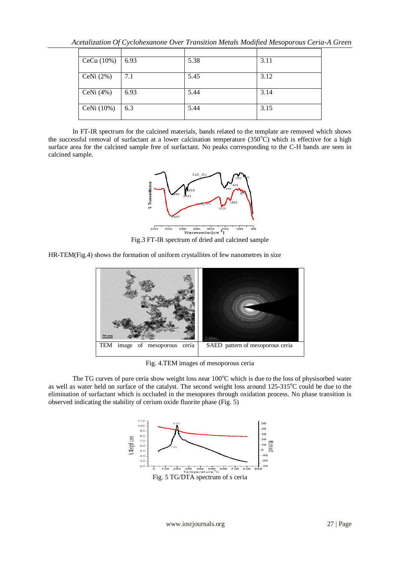*Acetalization Of Cyclohexanone Over Transition Metals Modified Mesoporous Ceria-A Green* 

| CeCu (10%)  | 6.93 | 5.38 | 3.11 |
|-------------|------|------|------|
| CeNi $(2%)$ | 7.1  | 5.45 | 3.12 |
| CeNi $(4%)$ | 6.93 | 5.44 | 3.14 |
| CeNi (10%)  | 6.3  | 5.44 | 3.15 |

In FT-IR spectrum for the calcined materials, bands related to the template are removed which shows the successful removal of surfactant at a lower calcination temperature  $(350^{\circ}$ C) which is effective for a high surface area for the calcined sample free of surfactant. No peaks corresponding to the C-H bands are seen in calcined sample.



HR-TEM(Fig.4) shows the formation of uniform crystallites of few nanometres in size



Fig. 4.TEM images of mesoporous ceria

The TG curves of pure ceria show weight loss near  $100^{\circ}$ C which is due to the loss of physisorbed water as well as water held on surface of the catalyst. The second weight loss around 125-315<sup>o</sup>C could be due to the elimination of surfactant which is occluded in the mesopores through oxidation process. No phase transition is observed indicating the stability of cerium oxide fluorite phase (Fig. 5)

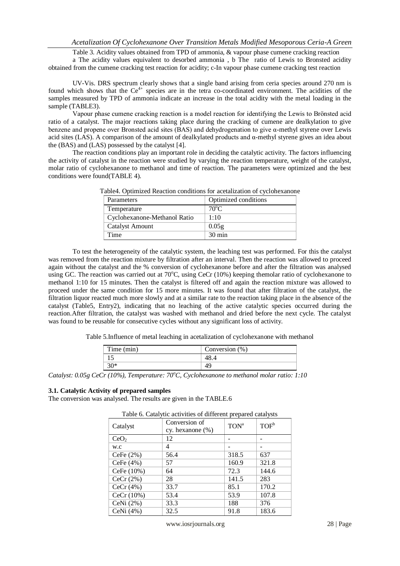Table 3. Acidity values obtained from TPD of ammonia, & vapour phase cumene cracking reaction

a The acidity values equivalent to desorbed ammonia , b The ratio of Lewis to Bronsted acidity obtained from the cumene cracking test reaction for acidity; c-In vapour phase cumene cracking test reaction

UV-Vis. DRS spectrum clearly shows that a single band arising from ceria species around 270 nm is found which shows that the  $Ce^{4+}$  species are in the tetra co-coordinated environment. The acidities of the samples measured by TPD of ammonia indicate an increase in the total acidity with the metal loading in the sample (TABLE3).

Vapour phase cumene cracking reaction is a model reaction for identifying the Lewis to Brӧnsted acid ratio of a catalyst. The major reactions taking place during the cracking of cumene are dealkylation to give benzene and propene over Bronsted acid sites (BAS) and dehydrogenation to give α-methyl styrene over Lewis acid sites (LAS). A comparison of the amount of dealkylated products and  $\alpha$ -methyl styrene gives an idea about the (BAS) and (LAS) possessed by the catalyst [4].

The reaction conditions play an important role in deciding the catalytic activity. The factors influencing the activity of catalyst in the reaction were studied by varying the reaction temperature, weight of the catalyst, molar ratio of cyclohexanone to methanol and time of reaction. The parameters were optimized and the best conditions were found(TABLE 4).

| Parameters                   | Optimized conditions |
|------------------------------|----------------------|
| Temperature                  | $70^{\circ}$ C       |
| Cyclohexanone-Methanol Ratio | 1:10                 |
| <b>Catalyst Amount</b>       | 0.05g                |
| Time                         | $30 \text{ min}$     |
|                              |                      |

Table4. Optimized Reaction conditions for acetalization of cyclohexanone

To test the heterogeneity of the catalytic system, the leaching test was performed. For this the catalyst was removed from the reaction mixture by filtration after an interval. Then the reaction was allowed to proceed again without the catalyst and the % conversion of cyclohexanone before and after the filtration was analysed using GC. The reaction was carried out at 70°C, using CeCr (10%) keeping themolar ratio of cyclohexanone to methanol 1:10 for 15 minutes. Then the catalyst is filtered off and again the reaction mixture was allowed to proceed under the same condition for 15 more minutes. It was found that after filtration of the catalyst, the filtration liquor reacted much more slowly and at a similar rate to the reaction taking place in the absence of the catalyst (Table5, Entry2), indicating that no leaching of the active catalytic species occurred during the reaction.After filtration, the catalyst was washed with methanol and dried before the next cycle. The catalyst was found to be reusable for consecutive cycles without any significant loss of activity.

Table 5.Influence of metal leaching in acetalization of cyclohexanone with methanol

| Time (min) | Conversion (%) |
|------------|----------------|
|            |                |
| $30*$      |                |

*Catalyst: 0.05g CeCr (10%), Temperature: 70°C, Cyclohexanone to methanol molar ratio: 1:10* 

#### **3.1. Catalytic Activity of prepared samples**

The conversion was analysed. The results are given in the TABLE.6

|                  | I able 6. Catalytic activities of ufficient prepared catalysis |                  |                  |
|------------------|----------------------------------------------------------------|------------------|------------------|
| Catalyst         | Conversion of<br>cy. hexanone $(\%)$                           | TON <sup>a</sup> | TOF <sup>b</sup> |
| CeO <sub>2</sub> | 12                                                             |                  |                  |
| w.c              | 4                                                              |                  |                  |
| CeFe $(2%)$      | 56.4                                                           | 318.5            | 637              |
| CeFe (4%)        | 57                                                             | 160.9            | 321.8            |
| CeFe (10%)       | 64                                                             | 72.3             | 144.6            |
| CeCr $(2%)$      | 28                                                             | 141.5            | 283              |
| CeCr $(4%)$      | 33.7                                                           | 85.1             | 170.2            |
| CeCr (10%)       | 53.4                                                           | 53.9             | 107.8            |
| CeNi (2%)        | 33.3                                                           | 188              | 376              |
| CeNi $(4%)$      | 32.5                                                           | 91.8             | 183.6            |

Table 6. Catalytic activities of different prepared catalysts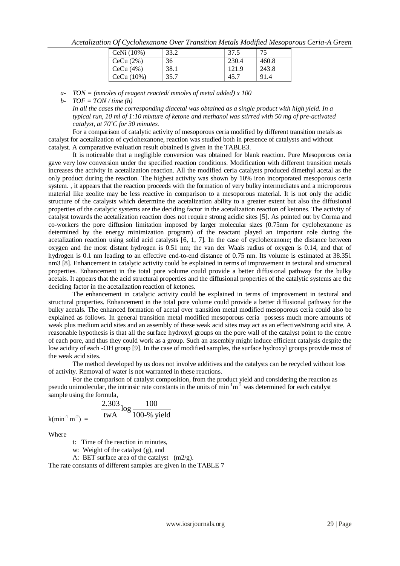*Acetalization Of Cyclohexanone Over Transition Metals Modified Mesoporous Ceria-A Green* 

| CeNi $(10\%)$ | 33.2 | 37.5  | 75    |
|---------------|------|-------|-------|
| CeCu (2%)     | 36   | 230.4 | 460.8 |
| CeCu (4%)     | 38.1 | 121.9 | 243.8 |
| CeCu (10%)    | 35.7 | 45.7  | 91.4  |

*a- TON = (mmoles of reagent reacted/ mmoles of metal added) x 100* 

*b- TOF = TON / time (h)*

*In all the cases the corresponding diacetal was obtained as a single product with high yield. In a typical run, 10 ml of 1:10 mixture of ketone and methanol was stirred with 50 mg of pre-activated catalyst, at 70<sup>o</sup>C for 30 minutes.*

For a comparison of catalytic activity of mesoporous ceria modified by different transition metals as catalyst for acetalization of cyclohexanone, reaction was studied both in presence of catalysts and without catalyst. A comparative evaluation result obtained is given in the TABLE3.

It is noticeable that a negligible conversion was obtained for blank reaction. Pure Mesoporous ceria gave very low conversion under the specified reaction conditions. Modification with different transition metals increases the activity in acetalization reaction. All the modified ceria catalysts produced dimethyl acetal as the only product during the reaction. The highest activity was shown by 10% iron incorporated mesoporous ceria system. , it appears that the reaction proceeds with the formation of very bulky intermediates and a microporous material like zeolite may be less reactive in comparison to a mesoporous material. It is not only the acidic structure of the catalysts which determine the acetalization ability to a greater extent but also the diffusional properties of the catalytic systems are the deciding factor in the acetalization reaction of ketones. The activity of catalyst towards the acetalization reaction does not require strong acidic sites [5]. As pointed out by Corma and co-workers the pore diffusion limitation imposed by larger molecular sizes (0.75nm for cyclohexanone as determined by the energy minimization program) of the reactant played an important role during the acetalization reaction using solid acid catalysts [6, 1, 7]. In the case of cyclohexanone; the distance between oxygen and the most distant hydrogen is 0.51 nm; the van der Waals radius of oxygen is 0.14, and that of hydrogen is 0.1 nm leading to an effective end-to-end distance of 0.75 nm. Its volume is estimated at 38.351 nm3 [8]. Enhancement in catalytic activity could be explained in terms of improvement in textural and structural properties. Enhancement in the total pore volume could provide a better diffusional pathway for the bulky acetals. It appears that the acid structural properties and the diffusional properties of the catalytic systems are the deciding factor in the acetalization reaction of ketones.

The enhancement in catalytic activity could be explained in terms of improvement in textural and structural properties. Enhancement in the total pore volume could provide a better diffusional pathway for the bulky acetals. The enhanced formation of acetal over transition metal modified mesoporous ceria could also be explained as follows. In general transition metal modified mesoporous ceria possess much more amounts of weak plus medium acid sites and an assembly of these weak acid sites may act as an effective/strong acid site. A reasonable hypothesis is that all the surface hydroxyl groups on the pore wall of the catalyst point to the centre of each pore, and thus they could work as a group. Such an assembly might induce efficient catalysis despite the low acidity of each -OH group [9]. In the case of modified samples, the surface hydroxyl groups provide most of the weak acid sites.

The method developed by us does not involve additives and the catalysts can be recycled without loss of activity. Removal of water is not warranted in these reactions.

For the comparison of catalyst composition, from the product yield and considering the reaction as pseudo unimolecular, the intrinsic rate constants in the units of  $min^{-1}m^2$  was determined for each catalyst sample using the formula,

$$
\frac{2.303}{\text{twA}} \log \frac{100}{100\% \text{ yield}}
$$

Where

t: Time of the reaction in minutes,

w: Weight of the catalyst (g), and

A: BET surface area of the catalyst (m2/g).

The rate constants of different samples are given in the TABLE 7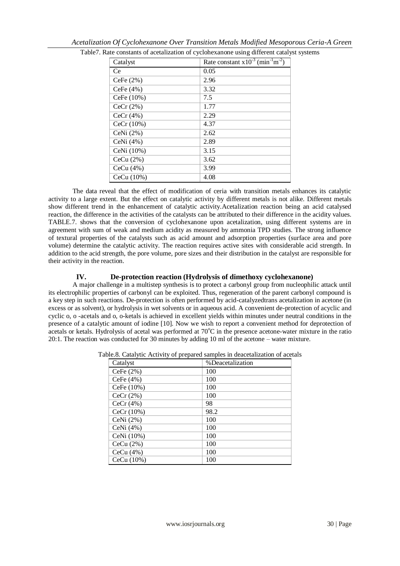|              | Table7. Rate constants of acetalization of cyclohexanone using different catalyst systems |  |
|--------------|-------------------------------------------------------------------------------------------|--|
| Catalyst     | Rate constant $x10^{-3}$ (min <sup>-1</sup> m <sup>-2</sup> )                             |  |
| Ce           | 0.05                                                                                      |  |
| CeFe $(2%)$  | 2.96                                                                                      |  |
| CeFe $(4%)$  | 3.32                                                                                      |  |
| CeFe (10%)   | 7.5                                                                                       |  |
| CeCr $(2\%)$ | 1.77                                                                                      |  |
| CeCr $(4%)$  | 2.29                                                                                      |  |
| CeCr(10%)    | 4.37                                                                                      |  |
| CeNi $(2\%)$ | 2.62                                                                                      |  |
| CeNi $(4%)$  | 2.89                                                                                      |  |
| CeNi (10%)   | 3.15                                                                                      |  |
| CeCu $(2\%)$ | 3.62                                                                                      |  |
| CeCu $(4\%)$ | 3.99                                                                                      |  |
| CeCu (10%)   | 4.08                                                                                      |  |

|--|

The data reveal that the effect of modification of ceria with transition metals enhances its catalytic activity to a large extent. But the effect on catalytic activity by different metals is not alike. Different metals show different trend in the enhancement of catalytic activity.Acetalization reaction being an acid catalysed reaction, the difference in the activities of the catalysts can be attributed to their difference in the acidity values. TABLE.7. shows that the conversion of cyclohexanone upon acetalization, using different systems are in agreement with sum of weak and medium acidity as measured by ammonia TPD studies. The strong influence of textural properties of the catalysts such as acid amount and adsorption properties (surface area and pore volume) determine the catalytic activity. The reaction requires active sites with considerable acid strength. In addition to the acid strength, the pore volume, pore sizes and their distribution in the catalyst are responsible for their activity in the reaction.

# **IV. De-protection reaction (Hydrolysis of dimethoxy cyclohexanone)**

A major challenge in a multistep synthesis is to protect a carbonyl group from nucleophilic attack until its electrophilic properties of carbonyl can be exploited. Thus, regeneration of the parent carbonyl compound is a key step in such reactions. De-protection is often performed by acid-catalyzedtrans acetalization in acetone (in excess or as solvent), or hydrolysis in wet solvents or in aqueous acid. A convenient de-protection of acyclic and cyclic o, o -acetals and o, o-ketals is achieved in excellent yields within minutes under neutral conditions in the presence of a catalytic amount of iodine [10]. Now we wish to report a convenient method for deprotection of acetals or ketals. Hydrolysis of acetal was performed at 70<sup>o</sup>C in the presence acetone-water mixture in the ratio 20:1. The reaction was conducted for 30 minutes by adding 10 ml of the acetone – water mixture.

| Catalyst    | %Deacetalization |
|-------------|------------------|
| CeFe $(2%)$ | 100              |
| CeFe $(4%)$ | 100              |
| CeFe (10%)  | 100              |
| CeCr $(2%)$ | 100              |
| CeCr $(4%)$ | 98               |
| CeCr (10%)  | 98.2             |
| CeNi $(2%)$ | 100              |
| CeNi $(4%)$ | 100              |
| CeNi (10%)  | 100              |
| CeCu $(2%)$ | 100              |
| CeCu $(4%)$ | 100              |
| CeCu (10%)  | 100              |

|  |  |  |  |  | Table.8. Catalytic Activity of prepared samples in deacetalization of acetals |  |  |
|--|--|--|--|--|-------------------------------------------------------------------------------|--|--|
|--|--|--|--|--|-------------------------------------------------------------------------------|--|--|